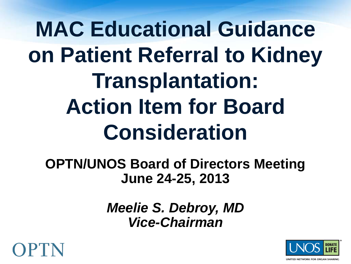**MAC Educational Guidance on Patient Referral to Kidney Transplantation: Action Item for Board Consideration**

**OPTN/UNOS Board of Directors Meeting June 24-25, 2013**

> *Meelie S. Debroy, MD Vice-Chairman*



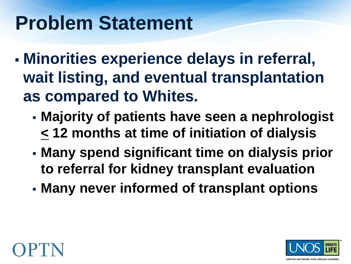# **Problem Statement**

- **Minorities experience delays in referral, wait listing, and eventual transplantation as compared to Whites.** 
	- **Majority of patients have seen a nephrologist < 12 months at time of initiation of dialysis**
	- **Many spend significant time on dialysis prior to referral for kidney transplant evaluation**
	- **Many never informed of transplant options**



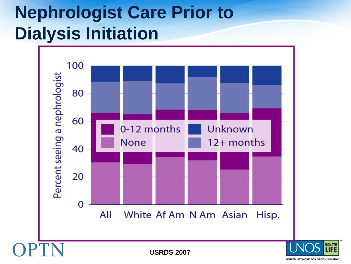## **Nephrologist Care Prior to Dialysis Initiation**



**USRDS 2007**

UNITED NETWORK FOR ORGAN SHARING

**DONATE**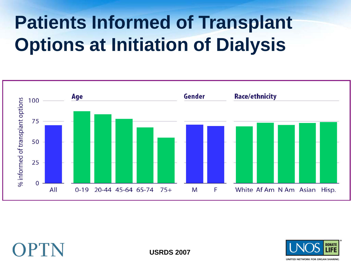# **Patients Informed of Transplant Options at Initiation of Dialysis**





**USRDS 2007**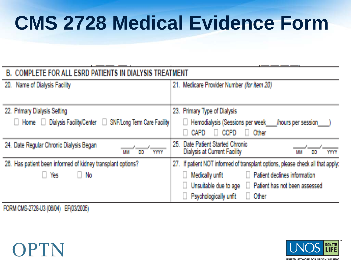# **CMS 2728 Medical Evidence Form**

| <b>B. COMPLETE FOR ALL ESRD PATIENTS IN DIALYSIS TREATMENT</b> |                                                                                             |
|----------------------------------------------------------------|---------------------------------------------------------------------------------------------|
| 20. Name of Dialysis Facility                                  | 21. Medicare Provider Number (for item 20)                                                  |
| 22. Primary Dialysis Setting                                   | 23. Primary Type of Dialysis                                                                |
| Home Dialysis Facility/Center D SNF/Long Term Care Facility    | Hemodialysis (Sessions per week<br>hours per session<br><b>CCPD</b><br><b>CAPD</b><br>Other |
| 24. Date Regular Chronic Dialysis Began<br>DD<br>YYYY<br>MM    | 25. Date Patient Started Chronic<br>Dialysis at Current Facility<br>MM<br><b>DD</b><br>YYYY |
| 26. Has patient been informed of kidney transplant options?    | 27. If patient NOT informed of transplant options, please check all that apply:             |
| $\Box$ No<br>Yes                                               | Patient declines information<br>Medically unfit                                             |
|                                                                | Patient has not been assessed<br>Unsuitable due to age                                      |
|                                                                | $\Box$ Other<br>Psychologically unfit                                                       |

FORM CMS-2728-U3 (06/04) EF(03/2005)



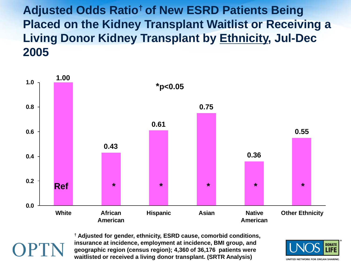**Adjusted Odds Ratio† of New ESRD Patients Being Placed on the Kidney Transplant Waitlist or Receiving a Living Donor Kidney Transplant by Ethnicity, Jul-Dec 2005** 



**† Adjusted for gender, ethnicity, ESRD cause, comorbid conditions, insurance at incidence, employment at incidence, BMI group, and geographic region (census region); 4,360 of 36,176 patients were waitlisted or received a living donor transplant. (SRTR Analysis)** 

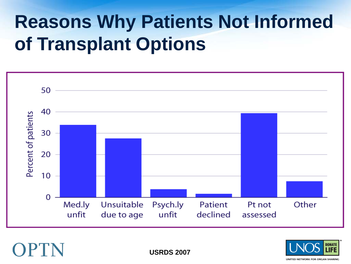# **Reasons Why Patients Not Informed of Transplant Options**





**USRDS 2007**

**UNITED NETWORK FOR ORGAN SHARING**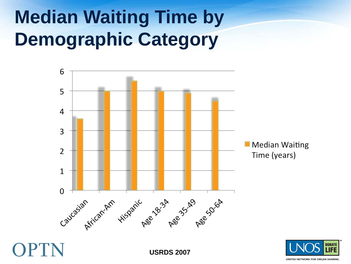# **Median Waiting Time by Demographic Category**





OPTN

**USRDS 2007**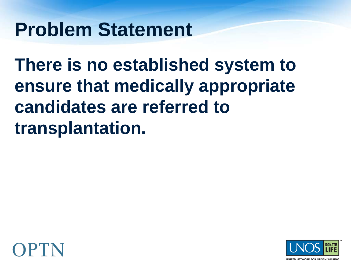## **Problem Statement**

**There is no established system to ensure that medically appropriate candidates are referred to transplantation.** 



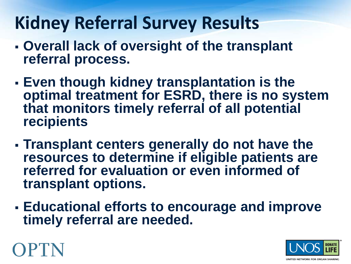### **Kidney Referral Survey Results**

- **Overall lack of oversight of the transplant referral process.**
- **Even though kidney transplantation is the optimal treatment for ESRD, there is no system that monitors timely referral of all potential recipients**
- **Transplant centers generally do not have the resources to determine if eligible patients are referred for evaluation or even informed of transplant options.**
- **Educational efforts to encourage and improve timely referral are needed.**



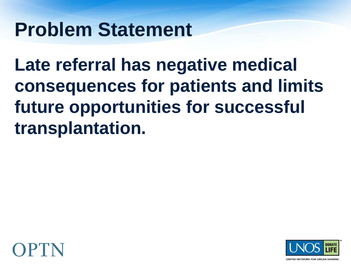## **Problem Statement**

**Late referral has negative medical consequences for patients and limits future opportunities for successful transplantation.**



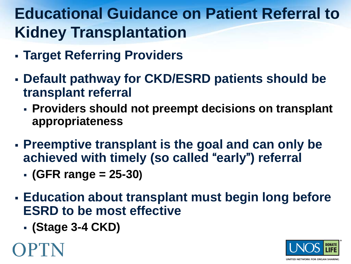#### **Educational Guidance on Patient Referral to Kidney Transplantation**

- **Target Referring Providers**
- **Default pathway for CKD/ESRD patients should be transplant referral**
	- **Providers should not preempt decisions on transplant appropriateness**
- **Preemptive transplant is the goal and can only be achieved with timely (so called** "**early**"**) referral** 
	- **(GFR range = 25-30)**
- **Education about transplant must begin long before ESRD to be most effective**
	- **(Stage 3-4 CKD)**



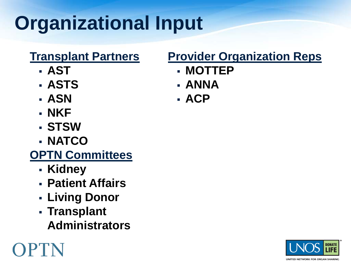# **Organizational Input**

#### **Transplant Partners**

- **AST**
- **ASTS**
- **ASN**
- **NKF**
- **STSW**
- **NATCO**

#### **OPTN Committees**

**Kidney**

OPTN

- **Patient Affairs**
- **Living Donor**
- **Transplant Administrators**

#### **Provider Organization Reps**

- **MOTTEP**
- **ANNA**
- **ACP**



UNITED NETWORK FOR ORGAN SHARING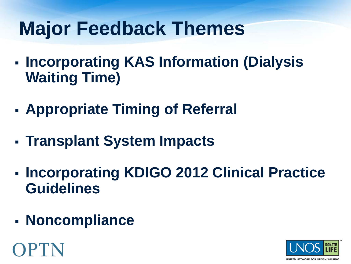# **Major Feedback Themes**

- **Incorporating KAS Information (Dialysis Waiting Time)**
- **Appropriate Timing of Referral**
- **Transplant System Impacts**
- **Incorporating KDIGO 2012 Clinical Practice Guidelines**
- **Noncompliance**